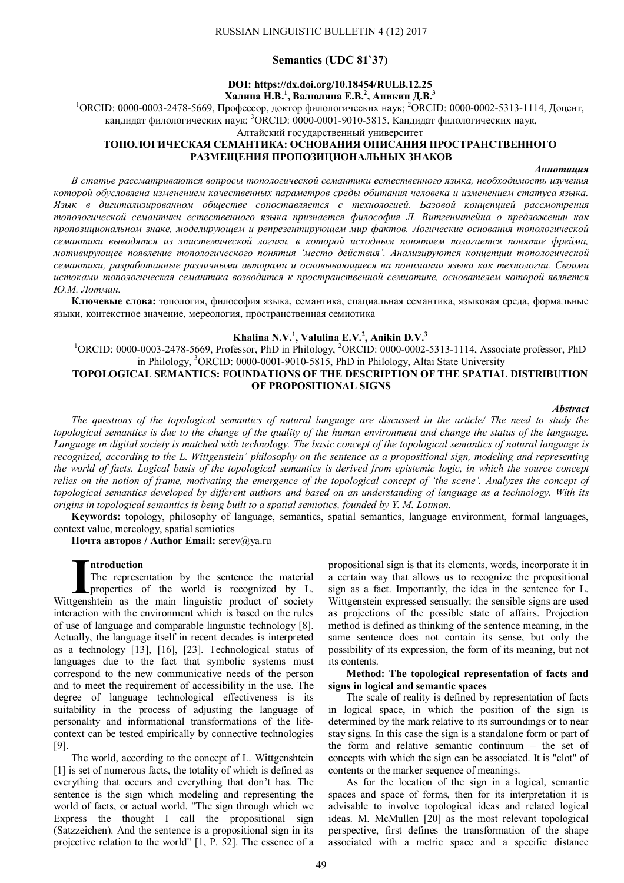### **Semantics (UDC 81`37)**

## **DOI: https://dx.doi.org/10.18454/RULB.12.25 Халина Н.В.<sup>1</sup> , Валюлина Е.В.<sup>2</sup> , Аникин Д.В.<sup>3</sup>**

<sup>1</sup>ОRCID: 0000-0003-2478-5669, Профессор, доктор филологических наук; <sup>2</sup>ORCID: 0000-0002-5313-1114, Доцент, кандидат филологических наук; <sup>3</sup>ORCID: 0000-0001-9010-5815, Кандидат филологических наук,

Алтайский государственный университет

## **ТОПОЛОГИЧЕСКАЯ СЕМАНТИКА: ОСНОВАНИЯ ОПИСАНИЯ ПРОСТРАНСТВЕННОГО РАЗМЕЩЕНИЯ ПРОПОЗИЦИОНАЛЬНЫХ ЗНАКОВ**

#### *Аннотация*

*В статье рассматриваются вопросы топологической семантики естественного языка, необходимость изучения которой обусловлена изменением качественных параметров среды обитания человека и изменением статуса языка. Язык в дигитализированном обществе сопоставляется с технологией. Базовой концепцией рассмотрения топологической семантики естественного языка признается философия Л. Витгенштейна о предложении как пропозициональном знаке, моделирующем и репрезентирующем мир фактов. Логические основания топологической семантики выводятся из эпистемической логики, в которой исходным понятием полагается понятие фрейма, мотивирующее появление топологического понятия 'место действия'. Анализируются концепции топологической семантики, разработанные различными авторами и основывающиеся на понимании языка как технологии. Своими истоками топологическая семантика возводится к пространственной семиотике, основателем которой является Ю.М. Лотман.*

**Ключевые слова:** топология, философия языка, семантика, спациальная семантика, языковая среда, формальные языки, контекстное значение, мереология, пространственная семиотика

# **Khalina N.V.<sup>1</sup> , Valulina E.V.<sup>2</sup> , Anikin D.V. 3**

<sup>1</sup>ORCID: 0000-0003-2478-5669, Professor, PhD in Philology, <sup>2</sup>ORCID: 0000-0002-5313-1114, Associate professor, PhD in Philology, <sup>3</sup>ORCID: 0000-0001-9010-5815, PhD in Philology, Altai State University

## **TOPOLOGICAL SEMANTICS: FOUNDATIONS OF THE DESCRIPTION OF THE SPATIAL DISTRIBUTION OF PROPOSITIONAL SIGNS**

### *Abstract*

*The questions of the topological semantics of natural language are discussed in the article/ The need to study the topological semantics is due to the change of the quality of the human environment and change the status of the language. Language in digital society is matched with technology. The basic concept of the topological semantics of natural language is recognized, according to the L. Wittgenstein' philosophy on the sentence as a propositional sign, modeling and representing the world of facts. Logical basis of the topological semantics is derived from epistemic logic, in which the source concept*  relies on the notion of frame, motivating the emergence of the topological concept of 'the scene'. Analyzes the concept of *topological semantics developed by different authors and based on an understanding of language as a technology. With its origins in topological semantics is being built to a spatial semiotics, founded by Y. M. Lotman.*

**Keywords:** topology, philosophy of language, semantics, spatial semantics, language environment, formal languages, context value, mereology, spatial semiotics

**Почта авторов / Author Email:** serev@ya.ru

#### **ntroduction**

The representation by the sentence the material properties of the world is recognized by L. The representation by the sentence the material properties of the world is recognized by L.<br>Wittgenshtein as the main linguistic product of society interaction with the environment which is based on the rules of use of language and comparable linguistic technology [8]. Actually, the language itself in recent decades is interpreted as a technology [13], [16], [23]. Technological status of languages due to the fact that symbolic systems must correspond to the new communicative needs of the person and to meet the requirement of accessibility in the use. The degree of language technological effectiveness is its suitability in the process of adjusting the language of personality and informational transformations of the lifecontext can be tested empirically by connective technologies [9].

The world, according to the concept of L. Wittgenshtein [1] is set of numerous facts, the totality of which is defined as everything that occurs and everything that don't has. The sentence is the sign which modeling and representing the world of facts, or actual world. "The sign through which we Express the thought I call the propositional sign (Satzzeichen). And the sentence is a propositional sign in its projective relation to the world" [1, P. 52]. The essence of a

propositional sign is that its elements, words, incorporate it in a certain way that allows us to recognize the propositional sign as a fact. Importantly, the idea in the sentence for L. Wittgenstein expressed sensually: the sensible signs are used as projections of the possible state of affairs. Projection method is defined as thinking of the sentence meaning, in the same sentence does not contain its sense, but only the possibility of its expression, the form of its meaning, but not its contents.

### **Method: The topological representation of facts and signs in logical and semantic spaces**

The scale of reality is defined by representation of facts in logical space, in which the position of the sign is determined by the mark relative to its surroundings or to near stay signs. In this case the sign is a standalone form or part of the form and relative semantic continuum – the set of concepts with which the sign can be associated. It is "clot" of contents or the marker sequence of meanings.

As for the location of the sign in a logical, semantic spaces and space of forms, then for its interpretation it is advisable to involve topological ideas and related logical ideas. M. McMullen [20] as the most relevant topological perspective, first defines the transformation of the shape associated with a metric space and a specific distance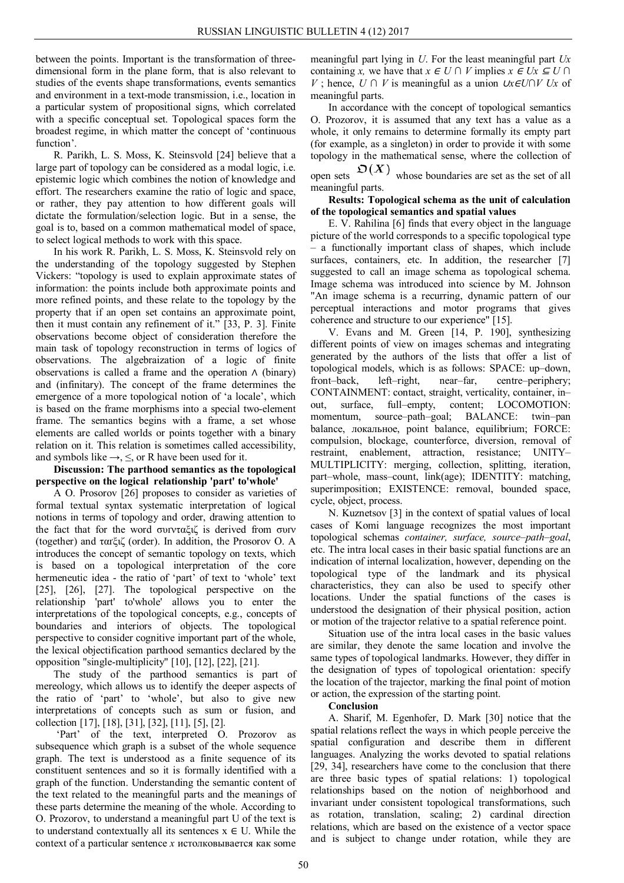between the points. Important is the transformation of threedimensional form in the plane form, that is also relevant to studies of the events shape transformations, events semantics and environment in a text-mode transmission, i.e., location in a particular system of propositional signs, which correlated with a specific conceptual set. Topological spaces form the broadest regime, in which matter the concept of 'continuous function'.

R. Parikh, L. S. Moss, K. Steinsvold [24] believe that a large part of topology can be considered as a modal logic, i.e. epistemic logic which combines the notion of knowledge and effort. The researchers examine the ratio of logic and space, or rather, they pay attention to how different goals will dictate the formulation/selection logic. But in a sense, the goal is to, based on a common mathematical model of space, to select logical methods to work with this space.

In his work R. Parikh, L. S. Moss, K. Steinsvold rely on the understanding of the topology suggested by Stephen Vickers: "topology is used to explain approximate states of information: the points include both approximate points and more refined points, and these relate to the topology by the property that if an open set contains an approximate point, then it must contain any refinement of it." [33, P. 3]. Finite observations become object of consideration therefore the main task of topology reconstruction in terms of logics of observations. The algebraization of a logic of finite observations is called a frame and the operation ∧ (binary) and (infinitary). The concept of the frame determines the emergence of a more topological notion of 'a locale', which is based on the frame morphisms into a special two-element frame. The semantics begins with a frame, a set whose elements are called worlds or points together with a binary relation on it. This relation is sometimes called accessibility, and symbols like  $\rightarrow$ ,  $\leq$ , or R have been used for it.

## **Discussion: The parthood semantics as the topological perspective on the logical relationship 'part' to'whole'**

A O. Prosorov [26] proposes to consider as varieties of formal textual syntax systematic interpretation of logical notions in terms of topology and order, drawing attention to the fact that for the word συινταξιζ is derived from συιν (together) and ταґξιζ (order). In addition, the Prosorov O. A introduces the concept of semantic topology on texts, which is based on a topological interpretation of the core hermeneutic idea - the ratio of 'part' of text to 'whole' text [25], [26], [27]. The topological perspective on the relationship 'part' to'whole' allows you to enter the interpretations of the topological concepts, e.g., concepts of boundaries and interiors of objects. The topological perspective to consider cognitive important part of the whole, the lexical objectification parthood semantics declared by the opposition "single-multiplicity" [10], [12], [22], [21].

The study of the parthood semantics is part of mereology, which allows us to identify the deeper aspects of the ratio of 'part' to 'whole', but also to give new interpretations of concepts such as sum or fusion, and collection [17], [18], [31], [32], [11], [5], [2].

'Part' of the text, interpreted O. Prozorov as subsequence which graph is a subset of the whole sequence graph. The text is understood as a finite sequence of its constituent sentences and so it is formally identified with a graph of the function. Understanding the semantic content of the text related to the meaningful parts and the meanings of these parts determine the meaning of the whole. According to O. Prozorov, to understand a meaningful part U of the text is to understand contextually all its sentences  $x \in U$ . While the context of a particular sentence *x* истолковывается как some

meaningful part lying in *U*. For the least meaningful part *Ux*  containing *x*, we have that  $x \in U \cap V$  implies  $x \in Ux \subseteq U \cap V$ *V* ; hence, *U ∩ V* is meaningful as a union *∪x∈U∩V Ux* of meaningful parts.

In accordance with the concept of topological semantics O. Prozorov, it is assumed that any text has a value as a whole, it only remains to determine formally its empty part (for example, as a singleton) in order to provide it with some topology in the mathematical sense, where the collection of

open sets  $\mathfrak{O}(X)$  whose boundaries are set as the set of all meaningful parts.

## **Results: Topological schema as the unit of calculation of the topological semantics and spatial values**

E. V. Rahilina [6] finds that every object in the language picture of the world corresponds to a specific topological type – a functionally important class of shapes, which include surfaces, containers, etc. In addition, the researcher [7] suggested to call an image schema as topological schema. Image schema was introduced into science by M. Johnson "An image schema is a recurring, dynamic pattern of our perceptual interactions and motor programs that gives coherence and structure to our experience" [15].

V. Evans and M. Green [14, P. 190], synthesizing different points of view on images schemas and integrating generated by the authors of the lists that offer a list of topological models, which is as follows: SPACE: up–down, front–back, left–right, near–far, centre–periphery; CONTAINMENT: contact, straight, verticality, container, in– out, surfaсe, full–empty, content; LOCOMOTION: momentum, source–path–goal; BALANCE: twin–pan balance, локальное, point balance, equilibrium; FORCE: compulsion, blockage, counterforce, diversion, removal of restraint, enablement, attraction, resistance; UNITY– MULTIPLICITY: merging, collection, splitting, iteration, part–whole, mass–count, link(age); IDENTITY: matching, superimposition; EXISTENCE: removal, bounded space, cycle, object, process.

N. Kuznetsov [3] in the context of spatial values of local cases of Komi language recognizes the most important topological schemas *container, surfaсe, source–path–goal*, etc. The intra local cases in their basic spatial functions are an indication of internal localization, however, depending on the topological type of the landmark and its physical characteristics, they can also be used to specify other locations. Under the spatial functions of the cases is understood the designation of their physical position, action or motion of the trajector relative to a spatial reference point.

Situation use of the intra local cases in the basic values are similar, they denote the same location and involve the same types of topological landmarks. However, they differ in the designation of types of topological orientation: specify the location of the trajector, marking the final point of motion or action, the expression of the starting point.

### **Conclusion**

A. Sharif, M. Egenhofer, D. Mark [30] notice that the spatial relations reflect the ways in which people perceive the spatial configuration and describe them in different languages. Analyzing the works devoted to spatial relations [29, 34], researchers have come to the conclusion that there are three basic types of spatial relations: 1) topological relationships based on the notion of neighborhood and invariant under consistent topological transformations, such as rotation, translation, scaling; 2) cardinal direction relations, which are based on the existence of a vector space and is subject to change under rotation, while they are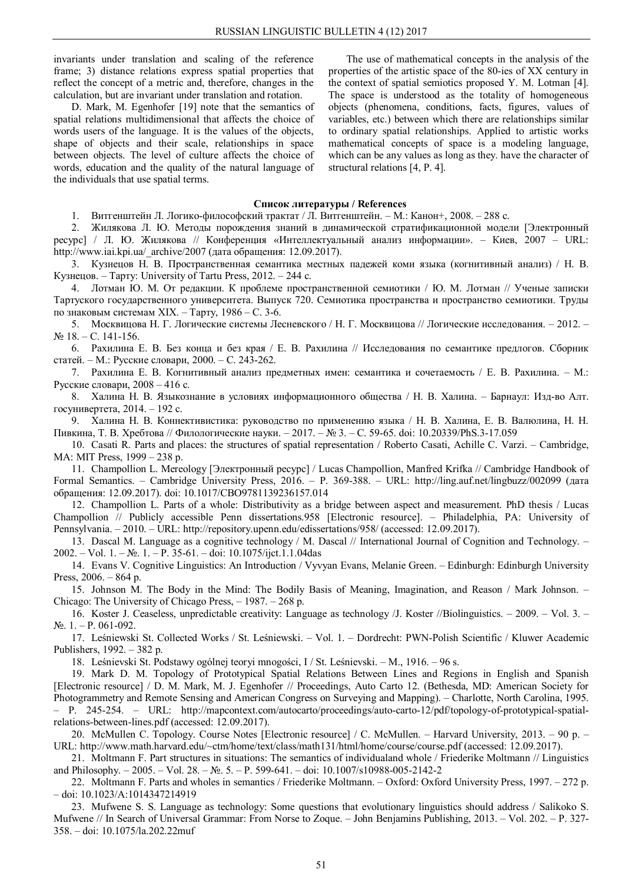invariants under translation and scaling of the reference frame; 3) distance relations express spatial properties that reflect the concept of a metric and, therefore, changes in the calculation, but are invariant under translation and rotation.

D. Mark, M. Egenhofer [19] note that the semantics of spatial relations multidimensional that affects the choice of words users of the language. It is the values of the objects, shape of objects and their scale, relationships in space between objects. The level of culture affects the choice of words, education and the quality of the natural language of the individuals that use spatial terms.

The use of mathematical concepts in the analysis of the properties of the artistic space of the 80-ies of XX century in the context of spatial semiotics proposed Y. M. Lotman [4]. The space is understood as the totality of homogeneous objects (phenomena, conditions, facts, figures, values of variables, etc.) between which there are relationships similar to ordinary spatial relationships. Applied to artistic works mathematical concepts of space is a modeling language, which can be any values as long as they. have the character of structural relations [4, P. 4].

### **Список литературы / References**

1. Витгенштейн Л. Логико-философский трактат / Л. Витгенштейн. – М.: Канон+, 2008. – 288 с.

2. Жилякова Л. Ю. Методы порождения знаний в динамической стратификационной модели [Электронный ресурс] / Л. Ю. Жилякова // Конференция «Интеллектуальный анализ информации». – Киев, 2007 – URL: http://www.iai.kpi.ua/\_archive/2007 (дата обращения: 12.09.2017).

3. Кузнецов Н. В. Пространственная семантика местных падежей коми языка (когнитивный анализ) / Н. В. Кузнецов. – Тарту: University of Tartu Press, 2012. – 244 с.

4. Лотман Ю. М. От редакции. К проблеме пространственной семиотики / Ю. М. Лотман // Ученые записки Тартуского государственного университета. Выпуск 720. Семиотика пространства и пространство семиотики. Труды по знаковым системам XIX. – Тарту, 1986 – С. 3-6.

5. Москвицова Н. Г. Логические системы Лесневского / Н. Г. Москвицова // Логические исследования. – 2012. – № 18. – С. 141-156.

6. Рахилина Е. В. Без конца и без края / Е. В. Рахилина // Исследования по семантике предлогов. Сборник статей. – М.: Русские словари, 2000. – С. 243-262.

7. Рахилина Е. В. Когнитивный анализ предметных имен: семантика и сочетаемость / Е. В. Рахилина. – М.: Русские словари, 2008 – 416 с.

8. Халина Н. В. Языкознание в условиях информационного общества / Н. В. Халина. – Барнаул: Изд-во Алт. госунивертета, 2014. – 192 с.

9. Халина Н. В. Коннективистика: руководство по применению языка / Н. В. Халина, Е. В. Валюлина, Н. Н. Пивкина, Т. В. Хребтова // Филологические науки. – 2017. – № 3. – С. 59-65. doi: 10.20339/PhS.3-17.059

10. Casati R. Parts and places: the structures of spatial representation / Roberto Casati, Achille C. Varzi. – Cambridge, MA: MIT Press, 1999 – 238 p.

11. Champollion L. Mereology [Электронный ресурс] / Lucas Champollion, Manfred Krifka // Cambridge Handbook of Formal Semantics. – Cambridge University Press, 2016. – P. 369-388. – URL: http://ling.auf.net/lingbuzz/002099 (дата обращения: 12.09.2017). doi: 10.1017/CBO9781139236157.014

12. Champollion L. Parts of a whole: Distributivity as a bridge between aspect and measurement. PhD thesis / Lucas Champollion // Publicly accessible Penn dissertations.958 [Electronic resource]. – Philadelphia, PA: University of Pennsylvania. – 2010. – URL: http://repository.upenn.edu/edissertations/958/ (accessed: 12.09.2017).

13. Dascal M. Language as a cognitive technology / M. Dascal // International Journal of Cognition and Technology. – 2002. – Vol. 1. – №. 1. – P. 35-61. – doi: 10.1075/ijct.1.1.04das

14. Evans V. Cognitive Linguistics: An Introduction / Vyvyan Evans, Melanie Green. – Edinburgh: Edinburgh University Press, 2006. – 864 p.

15. Johnson M. The Body in the Mind: The Bodily Basis of Meaning, Imagination, and Reason / Mark Johnson. – Chicago: The University of Chicago Press, – 1987. – 268 p.

16. Koster J. Ceaseless, unpredictable creativity: Language as technology /J. Koster //Biolinguistics. – 2009. – Vol. 3. – №. 1. – P. 061-092.

17. Leśniewski St. Collected Works / St. Leśniewski. – Vol. 1. – Dordrecht: PWN-Polish Scientific / Kluwer Academic Publishers, 1992. – 382 p.

18. Leśnievski St. Podstawy ogólnej teoryi mnogości, I / St. Leśnievski. – M., 1916. – 96 s.

19. Mark D. M. Topology of Prototypical Spatial Relations Between Lines and Regions in English and Spanish [Electronic resource] / D. M. Mark, M. J. Egenhofer // Proceedings, Auto Carto 12. (Bethesda, MD: American Society for Photogrammetry and Remote Sensing and American Congress on Surveying and Mapping). – Charlotte, North Carolina, 1995. – P. 245-254. – URL: http://mapcontext.com/autocarto/proceedings/auto-carto-12/pdf/topology-of-prototypical-spatialrelations-between-lines.pdf (accessed: 12.09.2017).

20. McMullen C. Topology. Course Notes [Electronic resource] / C. McMullen. – Harvard University, 2013. – 90 p. – URL: http://www.math.harvard.edu/~ctm/home/text/class/math131/html/home/course/course.pdf (accessed: 12.09.2017).

21. Moltmann F. Part structures in situations: The semantics of individualand whole / Friederike Moltmann // Linguistics and Philosophy. – 2005. – Vol. 28. – №. 5. – P. 599-641. – doi: 10.1007/s10988-005-2142-2

22. Moltmann F. Parts and wholes in semantics / Friederike Moltmann. – Oxford: Oxford University Press, 1997. – 272 p. – doi: 10.1023/A:1014347214919

23. Mufwene S. S. Language as technology: Some questions that evolutionary linguistics should address / Salikoko S. Mufwene // In Search of Universal Grammar: From Norse to Zoque. – John Benjamins Publishing, 2013. – Vol. 202. – P. 327- 358. – doi: 10.1075/la.202.22muf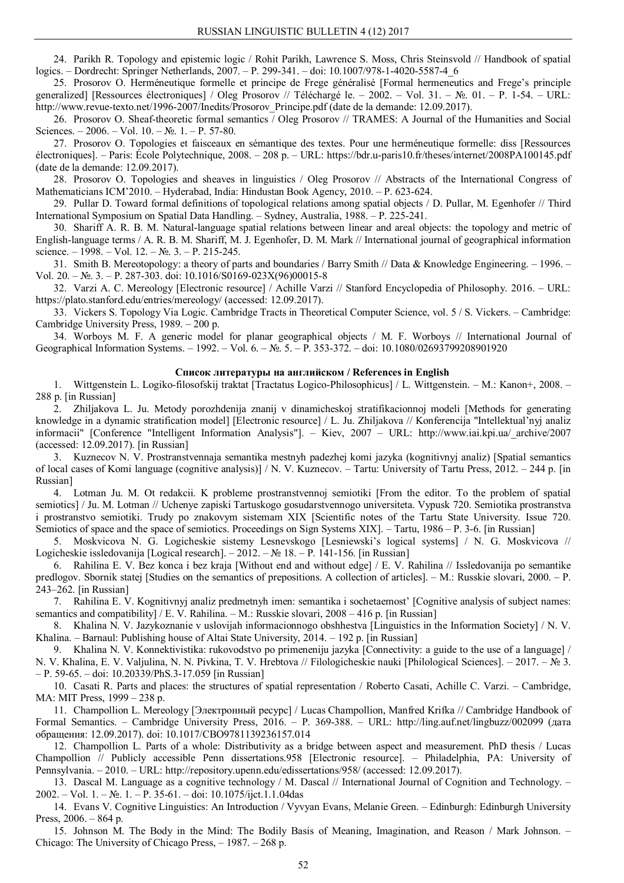24. Parikh R. Topology and epistemic logic / Rohit Parikh, Lawrence S. Moss, Chris Steinsvold // Handbook of spatial logics. – Dordrecht: Springer Netherlands, 2007. – P. 299-341. – doi: 10.1007/978-1-4020-5587-4\_6

25. Prosorov O. Herméneutique formelle et principe de Frege généralisé [Formal hermeneutics and Frege's principle generalized] [Ressources électroniques] / Oleg Prosorov // Téléchargé le. – 2002. – Vol. 31. – №. 01. – P. 1-54. – URL: http://www.revue-texto.net/1996-2007/Inedits/Prosorov\_Principe.pdf (date de la demande: 12.09.2017).

26. Prosorov O. Sheaf-theoretic formal semantics / Oleg Prosorov // TRAMES: A Journal of the Humanities and Social Sciences. – 2006. – Vol.  $10. - N_2$ .  $1. - P$ . 57-80.

27. Prosorov O. Topologies et faisceaux en sémantique des textes. Pour une herméneutique formelle: diss [Ressources électroniques]. – Paris: École Polytechnique, 2008. – 208 p. – URL: https://bdr.u-paris10.fr/theses/internet/2008PA100145.pdf (date de la demande: 12.09.2017).

28. Prosorov O. Topologies and sheaves in linguistics / Oleg Prosorov // Abstracts of the International Congress of Mathematicians ICM'2010. – Hyderabad, India: Hindustan Book Agency, 2010. – P. 623-624.

29. Pullar D. Toward formal definitions of topological relations among spatial objects / D. Pullar, M. Egenhofer // Third International Symposium on Spatial Data Handling. – Sydney, Australia, 1988. – P. 225-241.

30. Shariff A. R. B. M. Natural-language spatial relations between linear and areal objects: the topology and metric of English-language terms / A. R. B. M. Shariff, M. J. Egenhofer, D. M. Mark // International journal of geographical information science. – 1998. – Vol. 12. – №. 3. – P. 215-245.

31. Smith B. Mereotopology: a theory of parts and boundaries / Barry Smith // Data & Knowledge Engineering. – 1996. – Vol. 20. – №. 3. – P. 287-303. doi: 10.1016/S0169-023X(96)00015-8

32. Varzi A. C. Mereology [Electronic resource] / Achille Varzi // Stanford Encyclopedia of Philosophy. 2016. – URL: https://plato.stanford.edu/entries/mereology/ (accessed: 12.09.2017).

33. Vickers S. Topology Via Logic. Cambridge Tracts in Theoretical Computer Science, vol. 5 / S. Vickers. – Cambridge: Cambridge University Press, 1989. – 200 p.

34. Worboys M. F. A generic model for planar geographical objects / M. F. Worboys // International Journal of Geographical Information Systems. – 1992. – Vol. 6. – №. 5. – P. 353-372. – doi: 10.1080/02693799208901920

### **Список литературы на английском / References in English**

1. Wittgenstein L. Logiko-filosofskij traktat [Tractatus Logico-Philosophicus] / L. Wittgenstein. – M.: Kanon+, 2008. – 288 p. [in Russian]

2. Zhiljakova L. Ju. Metody porozhdenija znanij v dinamicheskoj stratifikacionnoj modeli [Methods for generating knowledge in a dynamic stratification model] [Electronic resource] / L. Ju. Zhiljakova // Konferencija "Intellektual'nyj analiz informacii" [Conference "Intelligent Information Analysis"]. – Kiev, 2007 – URL: http://www.iai.kpi.ua/\_archive/2007 (accessed: 12.09.2017). [in Russian]

3. Kuznecov N. V. Prostranstvennaja semantika mestnyh padezhej komi jazyka (kognitivnyj analiz) [Spatial semantics of local cases of Komi language (cognitive analysis)] / N. V. Kuznecov. – Tartu: University of Tartu Press, 2012. – 244 p. [in Russian]

4. Lotman Ju. M. Ot redakcii. K probleme prostranstvennoj semiotiki [From the editor. To the problem of spatial semiotics] / Ju. M. Lotman // Uchenye zapiski Tartuskogo gosudarstvennogo universiteta. Vypusk 720. Semiotika prostranstva i prostranstvo semiotiki. Trudy po znakovym sistemam XIX [Scientific notes of the Tartu State University. Issue 720. Semiotics of space and the space of semiotics. Proceedings on Sign Systems XIX]. – Tartu, 1986 – P. 3-6. [in Russian]

5. Moskvicova N. G. Logicheskie sistemy Lesnevskogo [Lesniewski's logical systems] / N. G. Moskvicova // Logicheskie issledovanija [Logical research]. – 2012. – № 18. – P. 141-156. [in Russian]

6. Rahilina E. V. Bez konca i bez kraja [Without end and without edge] / E. V. Rahilina // Issledovanija po semantike predlogov. Sbornik statej [Studies on the semantics of prepositions. A collection of articles]. – M.: Russkie slovari, 2000. – P. 243–262. [in Russian]

7. Rahilina E. V. Kognitivnyj analiz predmetnyh imen: semantika i sochetaemost' [Cognitive analysis of subject names: semantics and compatibility] / E. V. Rahilina. – M.: Russkie slovari, 2008 – 416 p. [in Russian]

8. Khalina N. V. Jazykoznanie v uslovijah informacionnogo obshhestva [Linguistics in the Information Society] / N. V. Khalina. – Barnaul: Publishing house of Altai State University, 2014. – 192 p. [in Russian]

9. Khalina N. V. Konnektivistika: rukovodstvo po primeneniju jazyka [Connectivity: a guide to the use of a language] / N. V. Khalina, E. V. Valjulina, N. N. Pivkina, T. V. Hrebtova // Filologicheskie nauki [Philological Sciences]. – 2017. – № 3. – P. 59-65. – doi: 10.20339/PhS.3-17.059 [in Russian]

10. Casati R. Parts and places: the structures of spatial representation / Roberto Casati, Achille C. Varzi. – Cambridge, MA: MIT Press, 1999 – 238 p.

11. Champollion L. Mereology [Электронный ресурс] / Lucas Champollion, Manfred Krifka // Cambridge Handbook of Formal Semantics. – Cambridge University Press, 2016. – P. 369-388. – URL: http://ling.auf.net/lingbuzz/002099 (дата обращения: 12.09.2017). doi: 10.1017/CBO9781139236157.014

12. Champollion L. Parts of a whole: Distributivity as a bridge between aspect and measurement. PhD thesis / Lucas Champollion // Publicly accessible Penn dissertations.958 [Electronic resource]. – Philadelphia, PA: University of Pennsylvania. – 2010. – URL: http://repository.upenn.edu/edissertations/958/ (accessed: 12.09.2017).

13. Dascal M. Language as a cognitive technology / M. Dascal // International Journal of Cognition and Technology. – 2002. – Vol. 1. – №. 1. – P. 35-61. – doi: 10.1075/ijct.1.1.04das

14. Evans V. Cognitive Linguistics: An Introduction / Vyvyan Evans, Melanie Green. – Edinburgh: Edinburgh University Press, 2006. – 864 p.

15. Johnson M. The Body in the Mind: The Bodily Basis of Meaning, Imagination, and Reason / Mark Johnson. – Chicago: The University of Chicago Press, – 1987. – 268 p.